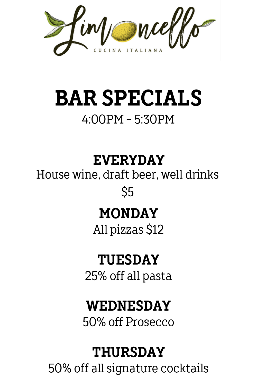wcef

## **BAR SPECIALS** 4:00PM - 5:30PM

**EVERYDAY**

House wine, draft beer, well drinks \$5

### **MONDAY**

All pizzas \$12

### **TUESDAY**

25% off all pasta

### **WEDNESDAY**

50% off Prosecco

### **THURSDAY**

50% off all signature cocktails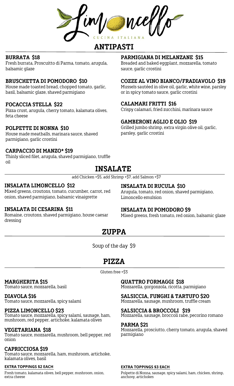## **ANTIPASTI**

#### **BURRATA \$18**

Fresh burrata, Proscuitto di Parma, tomato, arugula, balsamic glaze

### **BRUSCHETTA DI POMODORO \$10**

House made toasted bread, chopped tomato, garlic, basil, balsamic glaze, shaved parmigiano

### **FOCACCIA STELLA \$22**

Pizza crust, arugula, cherry tomato, kalamata olives, feta cheese

#### **POLPETTE DI NONNA \$10**

House made meatballs, marinara sauce, shaved parmigiano, garlic crostini

### **CARPACCIO DI MANZO\* \$19**

Thinly sliced filet, arugula, shaved parmigiano, truffle oil

### **PARMIGIANA DI MELANZANE \$15**

Breaded and baked eggplant, mozzarella, tomato sauce, garlic crostini

#### **COZZE AL VINO BIANCO/FRADIAVOLO \$19**

Mussels sautéed in olive oil, garlic, white wine, parsley or in spicy tomato sauce, garlic crostini

#### **CALAMARI FRITTI \$16**

Crispy calamari, fried zucchini, marinara sauce

### **GAMBERONI AGLIO E OLIO \$19**

Grilled jumbo shrimp, extra virgin olive oil, garlic, parsley, garlic crostini

## **INSALATE**

add Chicken +\$5, add Shrimp +\$7, add Salmon +\$7

### **INSALATA LIMONCELLO \$12**

Mixed greens, croutons, tomato, cucumber, carrot, red onion, shaved parmigiano, balsamic vinaigrette

### **INSALATA DI CESARINA \$11**

Romaine, croutons, shaved parmigiano, house caesar dressing

### **INSALATA DI RUCULA \$10**

Arugula, tomato, red onion, shaved parmigiano, Limoncello emulsion

#### **INSALATA DI POMODORO \$9**

Mixed greens, fresh tomato, red onion, balsamic glaze

### **ZUPPA**

Soup of the day \$9

## **PIZZA**

Gluten free +\$3

#### **MARGHERITA \$15**

Tomato sauce, mozzarella, basil

#### **DIAVOLA \$16**

Tomato sauce, mozzarella, spicy salami

#### **PIZZA LIMONCELLO \$23**

Tomato sauce, mozzarella, spicy salami, sausage, ham, mushroom, red pepper, artichoke, kalamata olives

#### **VEGETARIANA \$18**

Tomato sauce, mozzarella, mushroom, bell pepper, red onion

#### **CAPRICCIOSA \$19**

Tomato sauce, mozzarella, ham, mushroom, artichoke, kalamata olives, basil

#### **EXTRA TOPPINGS \$2 EACH**

Fresh tomato, kalamata olives, bell pepper, mushroom, onion, extra cheese

### **QUATTRO FORMAGGI \$18**

Mozzarella, gorgonzola, ricotta, parmigiano

#### **SALSICCIA, FUNGHI & TARTUFO \$20**

Mozzarella, sausage, mushroom, truffle cream

#### **SALSICCIA & BROCCOLI \$19**

Mozzarella, sausage, broccoli rabe, pecorino romano

### **PARMA \$21**

Mozzarella, prosciutto, cherry tomato, arugula, shaved parmigiano

#### **EXTRA TOPPINGS \$3 EACH**

Polpette di Nonna, sausage, spicy salami, ham, chicken, shrimp, anchovy, artichokes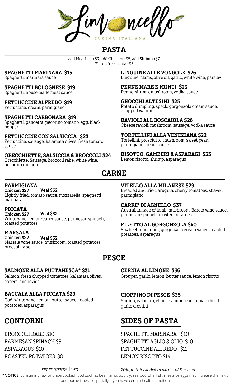ITALIAN N A

# **PASTA**

add Meatball +\$3, add Chicken +\$5, add Shrimp +\$7 Gluten free pasta +\$3

**SPAGHETTI MARINARA \$15**

Spaghetti, marinara sauce

**SPAGHETTI BOLOGNESE \$19**

Spaghetti, house made meat sauce

**FETTUCCINE ALFREDO \$19**

Fettuccine, cream, parmigiano

### **SPAGHETTI CARBONARA \$19**

Spaghetti, pancetta, pecorino romano, egg, black pepper

**FETTUCCINE CON SALSICCIA \$23** Fettuccine, sausage, kalamata olives, fresh tomato sauce

**ORECCHIETTE, SALSICCIA & BROCCOLI \$24** Orecchiette, Sausage, broccoli rabe, white wine, pecorino romano

**LINGUINE ALLE VONGOLE \$26** Linguine, clams, olive oil, garlic, white wine, parsley

**PENNE MARE E MONTI \$23** Penne, shrimp, mushroom, vodka sauce

**GNOCCHI ALTESINI \$25** Potato dumpling, speck, gorgonzola cream sauce, chopped walnut

**RAVIOLI ALL BOSCAIOLA \$26** Cheese ravioli, mushroom, sausage, vodka sauce

**TORTELLINI ALLA VENEZIANA \$22** Tortellini, prosciutto, mushroom, sweet peas, parmigiano cream sauce

**RISOTTO, GAMBERI & ASPARAGI \$33** Lemon risotto, shrimp, asparagus

Breaded and fried, arugula, cherry tomatoes, shaved

Australian rack of lamb, mushroom, Barolo wine sauce,

8oz beef tenderloin, gorgonzola cream sauce, roasted

**VITELLO ALLA MILANESE \$29**

parmesan spinach, roasted potatoes

**FILETTO AL GORGONZOLA \$40**

**CARRE' DI AGNELLO \$37**

potatoes, asparagus

# **CARNE**

parmigiano

### **PARMIGIANA**

roasted potatoes

**Chicken \$27** Lightly fried, tomato sauce, mozzarella, spaghetti marinara **Veal \$32**

**PICCATA Chicken \$27** White wine, lemon-caper sauce, parmesan spinach, **Veal \$32**

**MARSALA Chicken \$27** Marsala wine sauce, mushroom, roasted potatoes, broccoli rabe **Veal \$32**

# **PESCE**

### **SALMONE ALLA PUTTANESCA\* \$31**

Salmon, fresh chopped tomatoes, kalamata olives, capers, anchovies

### **BACCALA ALLA PICCATA \$29**

Cod, white wine, lemon-butter sauce, roasted potatoes, asparagus

# **CONTORNI**

BROCCOLI RABE \$10 PARMESAN SPINACH \$9 ASPARAGUS \$10 ROASTED POTATOES \$8

### **CERNIA AL LIMONE \$36**

Grouper, garlic, lemon-butter sauce, lemon risotto

### **CIOPPINO DI PESCE \$35**

Shrimp, calamari, clams, salmon, cod, tomato broth, garlic crostini

# **SIDES OF PASTA**

SPAGHETTI MARINARA \$10 SPAGHETTI AGLIO & OLIO \$10 FETTUCCINE ALFREDO \$11 LEMON RISOTTO \$14

### *SPLIT DISHES \$2.50 20% gratuity added to parties of 5 or more*

**\*NOTICE**: consuming raw or undercooked food such as beef, lamb, poultry, seafood, shellfish, meats or eggs may increase the risk of food borne illness, especially if you have certain health conditions.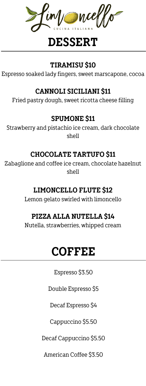wie

# **DESSERT**

### **TIRAMISU \$10**

Espresso soaked lady fingers, sweet marscapone, cocoa

### **CANNOLI SICILIANI \$11**

Fried pastry dough, sweet ricotta cheese filling

### **SPUMONE \$11**

Strawberry and pistachio ice cream, dark chocolate shell

### **CHOCOLATE TARTUFO \$11**

Zabaglione and coffee ice cream, chocolate hazelnut shell

### **LIMONCELLO FLUTE \$12**

Lemon gelato swirled with limoncello

### **PIZZA ALLA NUTELLA \$14**

Nutella, strawberries, whipped cream

# **COFFEE**

Espresso \$3.50

Double Espresso \$5

Decaf Espresso \$4

Cappuccino \$5.50

Decaf Cappuccino \$5.50

American Coffee \$3.50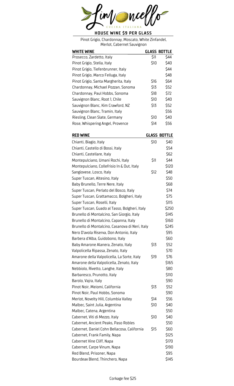

Pinot Grigio, Chardonnay, Moscato, White Zinfandel, Merlot, Cabernet Sauvignon

| <b>WHITE WINE</b>                     |      | GLASS BOTTLE |
|---------------------------------------|------|--------------|
| Prosecco, Zardetto, Italy             | \$11 | \$44         |
| Pinot Grigio, Stella, Italy           | \$10 | \$40         |
| Pinot Grigio, Tiefenbrunner, Italy    |      | \$44         |
| Pinot Grigio, Marco Felluga, Italy    |      | \$48         |
| Pinot Grigio, Santa Margherita, Italy | \$16 | \$64         |
| Chardonnay, Michael Pozzan, Sonoma    | \$13 | \$52         |
| Chardonnay, Paul Hobbs, Sonoma        | \$18 | \$72         |
| Sauvignon Blanc, Root 1, Chile        | \$10 | \$40         |
| Sauvignon Blanc, Kim Crawford, NZ     | \$13 | \$52         |
| Sauvignon Blanc, Tramin, Italy        |      | \$56         |
| Riesling, Clean Slate, Germany        | \$10 | \$40         |
| Rose, Whispering Angel, Provence      | \$14 | \$56         |

| <b>RED WINE</b>                                 |      | <b>GLASS BOTTLE</b> |
|-------------------------------------------------|------|---------------------|
| Chianti, Biagio, Italy                          | \$10 | \$40                |
| Chianti, Castello di Bossi, Italy               |      | \$54                |
| Chianti, Castellare, Italy                      |      | \$62                |
| Montepulciano, Umani Rochi, Italy               | \$11 | \$44                |
| Montepulciano, Collefrisio In & Out, Italy      |      | \$120               |
| Sangiovese, Losco, Italy                        | \$12 | \$48                |
| Super Tuscan, Altesino, Italy                   |      | \$50                |
| Baby Brunello, Terre Nere, Italy                |      | \$68                |
| Super Tuscan, Perlato del Bosco, Italy          |      | \$74                |
| Super Tuscan, Grattamacco, Bolgheri, Italy      |      | \$75                |
| Super Tuscan, Roselli, Italy                    |      | \$115               |
| Super Tuscan, Guado al Tasso, Bolgheri, Italy   |      | \$250               |
| Brunello di Montalcino, San Giorgio, Italy      |      | \$145               |
| Brunello di Montalcino, Capanna, Italy          |      | \$160               |
| Brunello di Montalcino, Casanova di Neri, Italy |      | \$245               |
| Nero D'avola Riserva, Don Antonio, Italy        |      | \$95                |
| Barbera d'Alba, Guidobono, Italy                |      | \$60                |
| Baby Amarone Alanera, Zenato, Italy             | \$13 | \$52                |
| Valpolicella Ripassa, Zenato, Italy             |      | \$70                |
| Amarone della Valpolicella, La Sorte, Italy     | \$19 | \$76                |
| Amarone della Valpolicella, Zenato, Italy       |      | \$165               |
| Nebbiolo, Rivetto, Langhe, Italy                |      | \$80                |
| Barbaresco, Prunotto, Italy                     |      | \$110               |
| Barolo, Vajra, Italy                            |      | \$90                |
| Pinot Noir, Meiomi, California                  | \$13 | \$52                |
| Pinot Noir, Paul Hobbs, Sonoma                  |      | \$90                |
| Merlot, Novelty Hill, Columbia Valley           | \$14 | \$56                |
| Malbec, Saint Julia, Argentina                  | \$10 | \$40                |
| Malbec, Catena, Argentina                       |      | \$50                |
| Cabernet, Viti di Mezzo, Italy                  | \$10 | \$40                |
| Cabernet, Ancient Peaks, Paso Robles            |      | \$50                |
| Cabernet, Daniel Cohn Bellacosa, California     | \$15 | \$60                |
| Cabernet, Frank Family, Napa                    |      | \$125               |
| Cabernet Vine Cliff, Napa                       |      | \$170               |
| Cabernet, Carpe Vinum, Napa                     |      | \$190               |
| Red Blend, Prisoner, Napa                       |      | \$95                |
| Bourdeax Blend, Thinchero, Napa                 |      | \$145               |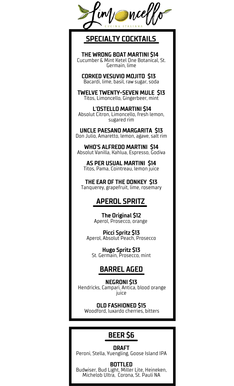

# **SPECIALTY COCKTAILS**

**THE WRONG BOAT MARTINI \$14** Cucumber & Mint Ketel One Botanical, St. Germain, lime

**CORKED VESUVIO MOJITO \$13** Bacardi, lime, basil, raw sugar, soda

**TWELVE TWENTY-SEVEN MULE \$13** Titos, Limoncello, Gingerbeer, mint

**L'OSTELLO MARTINI \$14** Absolut Citron, Limoncello, fresh lemon, sugared rim

**UNCLE PAESANO MARGARITA \$13** Don Julio, Amaretto, lemon, agave, salt rim

**WHO'S ALFREDO MARTINI \$14** Absolut Vanilla, Kahlua, Espresso, Godiva

**AS PER USUAL MARTINI \$14** Titos, Pama, Cointreau, lemon juice

**THE EAR OF THE DONKEY \$13** Tanquerey, grapefruit, lime, rosemary

## **APEROL SPRITZ**

**The Original \$12** Aperol, Prosecco, orange

**Picci Spritz \$13** Aperol, Absolut Peach, Prosecco

**Hugo Spritz \$13** St. Germain, Prosecco, mint

## **BARREL AGED**

**NEGRONI \$13** Hendricks, Campari, Antica, blood orange juice

**OLD FASHIONED \$15** Woodford, luxardo cherries, bitters

# **BEER \$6**

**DRAFT** Peroni, Stella, Yuengling, Goose Island IPA

**BOTTLED** Budwiser, Bud Light, Miller Lite, Heineken, Michelob Ultra, Corona, St. Pauli NA